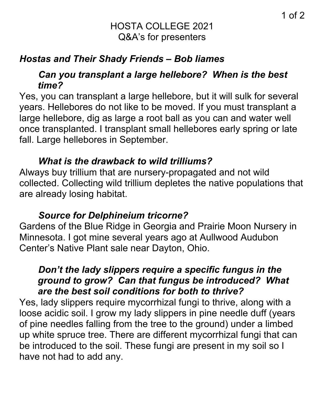## HOSTA COLLEGE 2021 Q&A's for presenters

## *Hostas and Their Shady Friends – Bob Iiames*

## *Can you transplant a large hellebore? When is the best time?*

Yes, you can transplant a large hellebore, but it will sulk for several years. Hellebores do not like to be moved. If you must transplant a large hellebore, dig as large a root ball as you can and water well once transplanted. I transplant small hellebores early spring or late fall. Large hellebores in September.

## *What is the drawback to wild trilliums?*

Always buy trillium that are nursery-propagated and not wild collected. Collecting wild trillium depletes the native populations that are already losing habitat.

## *Source for Delphineium tricorne?*

Gardens of the Blue Ridge in Georgia and Prairie Moon Nursery in Minnesota. I got mine several years ago at Aullwood Audubon Center's Native Plant sale near Dayton, Ohio.

## *Don't the lady slippers require a specific fungus in the ground to grow? Can that fungus be introduced? What are the best soil conditions for both to thrive?*

Yes, lady slippers require mycorrhizal fungi to thrive, along with a loose acidic soil. I grow my lady slippers in pine needle duff (years of pine needles falling from the tree to the ground) under a limbed up white spruce tree. There are different mycorrhizal fungi that can be introduced to the soil. These fungi are present in my soil so I have not had to add any.